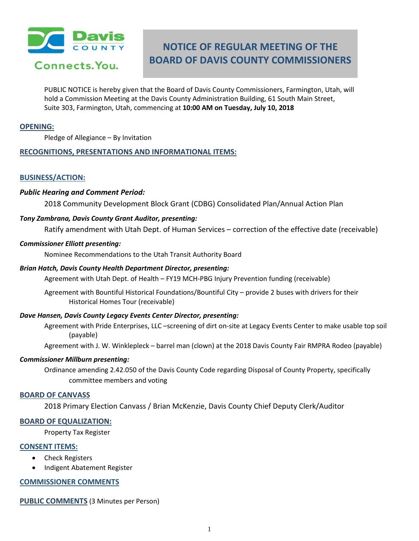

# **NOTICE OF REGULAR MEETING OF THE BOARD OF DAVIS COUNTY COMMISSIONERS**

PUBLIC NOTICE is hereby given that the Board of Davis County Commissioners, Farmington, Utah, will hold a Commission Meeting at the Davis County Administration Building, 61 South Main Street, Suite 303, Farmington, Utah, commencing at **10:00 AM on Tuesday, July 10, 2018**

## **OPENING:**

Pledge of Allegiance – By Invitation

## **RECOGNITIONS, PRESENTATIONS AND INFORMATIONAL ITEMS:**

## **BUSINESS/ACTION:**

## *Public Hearing and Comment Period:*

2018 Community Development Block Grant (CDBG) Consolidated Plan/Annual Action Plan

## *Tony Zambrana, Davis County Grant Auditor, presenting:*

Ratify amendment with Utah Dept. of Human Services – correction of the effective date (receivable)

## *Commissioner Elliott presenting:*

Nominee Recommendations to the Utah Transit Authority Board

## *Brian Hatch, Davis County Health Department Director, presenting:*

Agreement with Utah Dept. of Health – FY19 MCH-PBG Injury Prevention funding (receivable)

Agreement with Bountiful Historical Foundations/Bountiful City – provide 2 buses with drivers for their Historical Homes Tour (receivable)

## *Dave Hansen, Davis County Legacy Events Center Director, presenting:*

Agreement with Pride Enterprises, LLC –screening of dirt on-site at Legacy Events Center to make usable top soil (payable)

Agreement with J. W. Winklepleck – barrel man (clown) at the 2018 Davis County Fair RMPRA Rodeo (payable)

#### *Commissioner Millburn presenting:*

Ordinance amending 2.42.050 of the Davis County Code regarding Disposal of County Property, specifically committee members and voting

#### **BOARD OF CANVASS**

2018 Primary Election Canvass / Brian McKenzie, Davis County Chief Deputy Clerk/Auditor

#### **BOARD OF EQUALIZATION:**

Property Tax Register

## **CONSENT ITEMS:**

- Check Registers
- Indigent Abatement Register

## **COMMISSIONER COMMENTS**

**PUBLIC COMMENTS** (3 Minutes per Person)